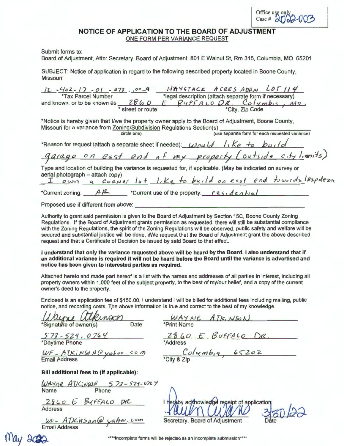## **NOTICE OF APPLICATION TO THE BOARD OF ADJUSTMENT**  ONE FORM PER VARIANCE REQUEST

Submit forms to:

Board of Adjustment, Attn: Secretary, Board of Adjustment, 801 E Walnut St, Rm 315, Columbia, MO 65201

SUBJECT: Notice of application in regard to the following described property located in Boone County, Missouri:

| HAYSTACK ACRES ADDN LOT 114<br>$12 - 402 - 17 - 01 - 073$ . 00-9<br>*legal description (attach separate form if necessary)<br><b>*Tax Parcel Number</b><br>and known, or to be known as 2860<br>E BUFFALODR, Columbia, MO.<br>*City, Zip Code<br>* street or route |
|--------------------------------------------------------------------------------------------------------------------------------------------------------------------------------------------------------------------------------------------------------------------|
| *Notice is hereby given that I/we the property owner apply to the Board of Adjustment, Boone County,<br>Missouri for a variance from Zoning/Subdivision Regulations Section(s)<br>(use separate form for each requested variance)<br>circle one)                   |
| *Reason for request (attach a separate sheet if needed): Would like to build<br>garage on east end of my property (outside city limits)                                                                                                                            |
| Type and location of building the variance is requested for, if applicable. (May be indicated on survey or<br>aerial photograph - attach copy)<br>I own a corner lot like to build on east end towords IRspdeza                                                    |
| *Current zoning: $AP$ *Current use of the property: $residep+ie$<br>Proposed use if different from above:                                                                                                                                                          |

Authority to grant said permission is given to the Board of Adjustment by Section 15C, Boone County Zoning Regulations. If the Board of Adjustment grants permission as requested, there will still be substantial compliance with the Zoning Regulations, the spirit of the Zoning Regulations will be observed, public safety and welfare will be secured and substantial justice will be done. I/We request that the Board of Adjustment grant the above described request and that a Certificate of Decision be issued by said Board to that effect.

I **understand that only the variance requested above will be heard by the Board.** I **also understand that if an additional variance is required it will not be heard before the Board until the variance is advertised and notice has been given to interested parties as required.** 

Attached hereto and made part hereof is a list with the names and addresses of all parties in interest, including all property owners within 1,000 feet of the subject property, to the best of my/our belief, and a copy of the current owner's deed to the property.

| notice, and recording costs. The above information is true and correct to the best of my knowledge.<br>themson<br>*Signature of owner(s)<br>Date | Enclosed is an application fee of \$150.00. I understand I will be billed for additional fees including mailing, public<br>WAYNE ATKINSON<br>*Print Name |
|--------------------------------------------------------------------------------------------------------------------------------------------------|----------------------------------------------------------------------------------------------------------------------------------------------------------|
| $573 - 529 - 0764$<br>*Daytime Phone                                                                                                             | 2860 E BUFFALO DR.<br>*Address                                                                                                                           |
| WF - ATKINSON Cyahoo. Com<br><b>Email Address</b>                                                                                                | Columbia, 65202                                                                                                                                          |
| Bill additional fees to (if applicable):                                                                                                         |                                                                                                                                                          |
| WAYNE ATICINSON 573-529-0764<br>Phone<br>Name                                                                                                    |                                                                                                                                                          |
| 2860 E BYFFALO DR.<br><b>Address</b>                                                                                                             | I hereby ackhowledge receipt of application:                                                                                                             |
| WF- ATKINSON@ yahar.com<br><b>Email Address</b>                                                                                                  | Secretary, Board of Adjustment                                                                                                                           |